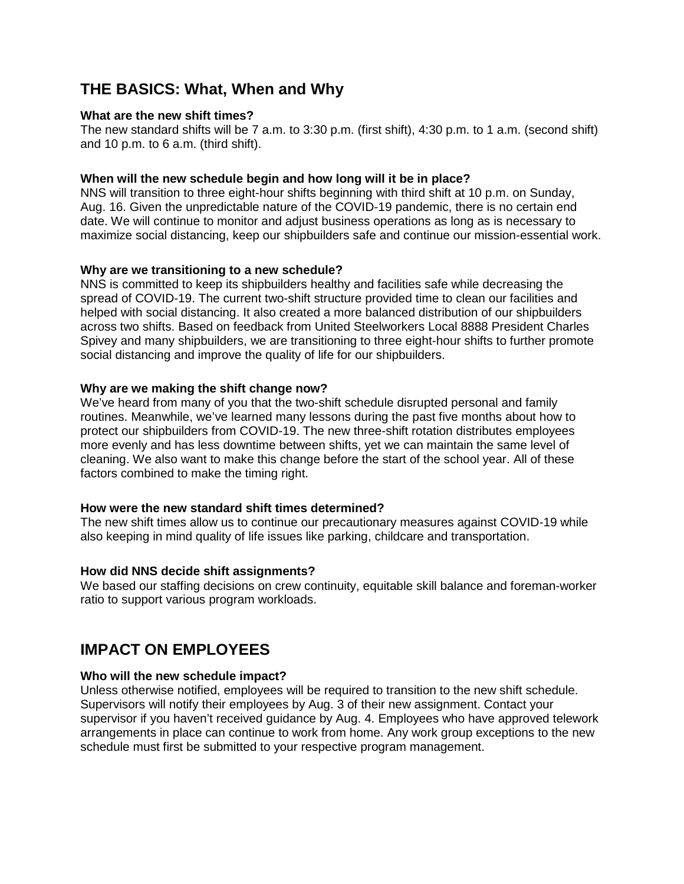# **THE BASICS: What, When and Why**

### **What are the new shift times?**

The new standard shifts will be 7 a.m. to 3:30 p.m. (first shift), 4:30 p.m. to 1 a.m. (second shift) and 10 p.m. to 6 a.m. (third shift).

### **When will the new schedule begin and how long will it be in place?**

NNS will transition to three eight-hour shifts beginning with third shift at 10 p.m. on Sunday, Aug. 16. Given the unpredictable nature of the COVID-19 pandemic, there is no certain end date. We will continue to monitor and adjust business operations as long as is necessary to maximize social distancing, keep our shipbuilders safe and continue our mission-essential work.

### **Why are we transitioning to a new schedule?**

NNS is committed to keep its shipbuilders healthy and facilities safe while decreasing the spread of COVID-19. The current two-shift structure provided time to clean our facilities and helped with social distancing. It also created a more balanced distribution of our shipbuilders across two shifts. Based on feedback from United Steelworkers Local 8888 President Charles Spivey and many shipbuilders, we are transitioning to three eight-hour shifts to further promote social distancing and improve the quality of life for our shipbuilders.

### **Why are we making the shift change now?**

We've heard from many of you that the two-shift schedule disrupted personal and family routines. Meanwhile, we've learned many lessons during the past five months about how to protect our shipbuilders from COVID-19. The new three-shift rotation distributes employees more evenly and has less downtime between shifts, yet we can maintain the same level of cleaning. We also want to make this change before the start of the school year. All of these factors combined to make the timing right.

### **How were the new standard shift times determined?**

The new shift times allow us to continue our precautionary measures against COVID-19 while also keeping in mind quality of life issues like parking, childcare and transportation.

### **How did NNS decide shift assignments?**

We based our staffing decisions on crew continuity, equitable skill balance and foreman-worker ratio to support various program workloads.

# **IMPACT ON EMPLOYEES**

# **Who will the new schedule impact?**

Unless otherwise notified, employees will be required to transition to the new shift schedule. Supervisors will notify their employees by Aug. 3 of their new assignment. Contact your supervisor if you haven't received guidance by Aug. 4. Employees who have approved telework arrangements in place can continue to work from home. Any work group exceptions to the new schedule must first be submitted to your respective program management.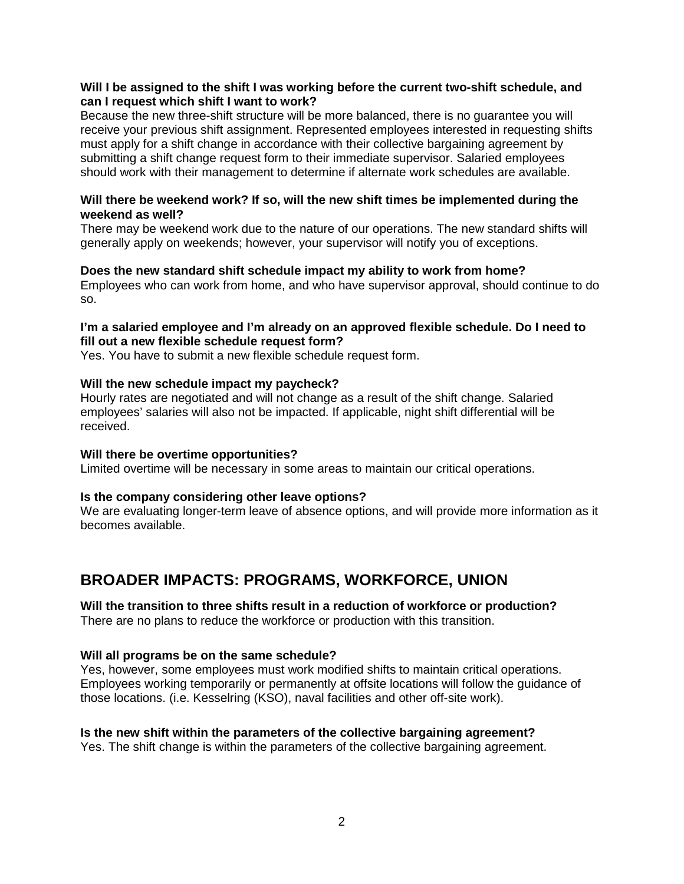## **Will I be assigned to the shift I was working before the current two-shift schedule, and can I request which shift I want to work?**

Because the new three-shift structure will be more balanced, there is no guarantee you will receive your previous shift assignment. Represented employees interested in requesting shifts must apply for a shift change in accordance with their collective bargaining agreement by submitting a shift change request form to their immediate supervisor. Salaried employees should work with their management to determine if alternate work schedules are available.

## **Will there be weekend work? If so, will the new shift times be implemented during the weekend as well?**

There may be weekend work due to the nature of our operations. The new standard shifts will generally apply on weekends; however, your supervisor will notify you of exceptions.

### **Does the new standard shift schedule impact my ability to work from home?**

Employees who can work from home, and who have supervisor approval, should continue to do so.

## **I'm a salaried employee and I'm already on an approved flexible schedule. Do I need to fill out a new flexible schedule request form?**

Yes. You have to submit a new flexible schedule request form.

# **Will the new schedule impact my paycheck?**

Hourly rates are negotiated and will not change as a result of the shift change. Salaried employees' salaries will also not be impacted. If applicable, night shift differential will be received.

### **Will there be overtime opportunities?**

Limited overtime will be necessary in some areas to maintain our critical operations.

# **Is the company considering other leave options?**

We are evaluating longer-term leave of absence options, and will provide more information as it becomes available.

# **BROADER IMPACTS: PROGRAMS, WORKFORCE, UNION**

# **Will the transition to three shifts result in a reduction of workforce or production?**

There are no plans to reduce the workforce or production with this transition.

### **Will all programs be on the same schedule?**

Yes, however, some employees must work modified shifts to maintain critical operations. Employees working temporarily or permanently at offsite locations will follow the guidance of those locations. (i.e. Kesselring (KSO), naval facilities and other off-site work).

# **Is the new shift within the parameters of the collective bargaining agreement?**

Yes. The shift change is within the parameters of the collective bargaining agreement.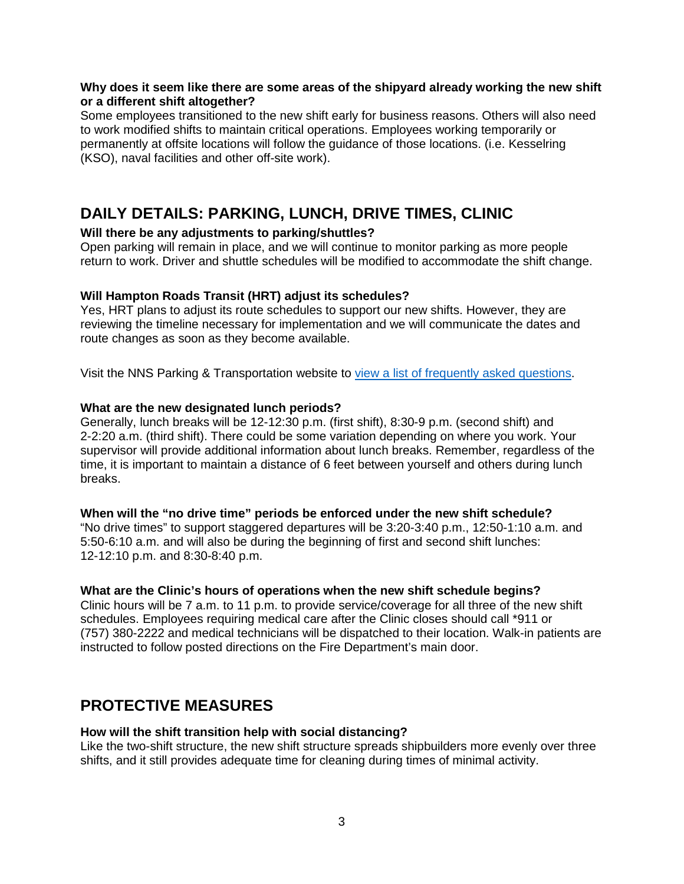### **Why does it seem like there are some areas of the shipyard already working the new shift or a different shift altogether?**

Some employees transitioned to the new shift early for business reasons. Others will also need to work modified shifts to maintain critical operations. Employees working temporarily or permanently at offsite locations will follow the guidance of those locations. (i.e. Kesselring (KSO), naval facilities and other off-site work).

# **DAILY DETAILS: PARKING, LUNCH, DRIVE TIMES, CLINIC**

# **Will there be any adjustments to parking/shuttles?**

Open parking will remain in place, and we will continue to monitor parking as more people return to work. Driver and shuttle schedules will be modified to accommodate the shift change.

### **Will Hampton Roads Transit (HRT) adjust its schedules?**

Yes, HRT plans to adjust its route schedules to support our new shifts. However, they are reviewing the timeline necessary for implementation and we will communicate the dates and route changes as soon as they become available.

Visit the NNS Parking & Transportation website to [view a list of frequently asked questions.](https://nns.huntingtoningalls.com/parking-transportation/temporary-shift-change-faqs/)

### **What are the new designated lunch periods?**

Generally, lunch breaks will be 12-12:30 p.m. (first shift), 8:30-9 p.m. (second shift) and 2-2:20 a.m. (third shift). There could be some variation depending on where you work. Your supervisor will provide additional information about lunch breaks. Remember, regardless of the time, it is important to maintain a distance of 6 feet between yourself and others during lunch breaks.

### **When will the "no drive time" periods be enforced under the new shift schedule?**

"No drive times" to support staggered departures will be 3:20-3:40 p.m., 12:50-1:10 a.m. and 5:50-6:10 a.m. and will also be during the beginning of first and second shift lunches: 12-12:10 p.m. and 8:30-8:40 p.m.

### **What are the Clinic's hours of operations when the new shift schedule begins?**

Clinic hours will be 7 a.m. to 11 p.m. to provide service/coverage for all three of the new shift schedules. Employees requiring medical care after the Clinic closes should call \*911 or (757) 380-2222 and medical technicians will be dispatched to their location. Walk-in patients are instructed to follow posted directions on the Fire Department's main door.

# **PROTECTIVE MEASURES**

# **How will the shift transition help with social distancing?**

Like the two-shift structure, the new shift structure spreads shipbuilders more evenly over three shifts, and it still provides adequate time for cleaning during times of minimal activity.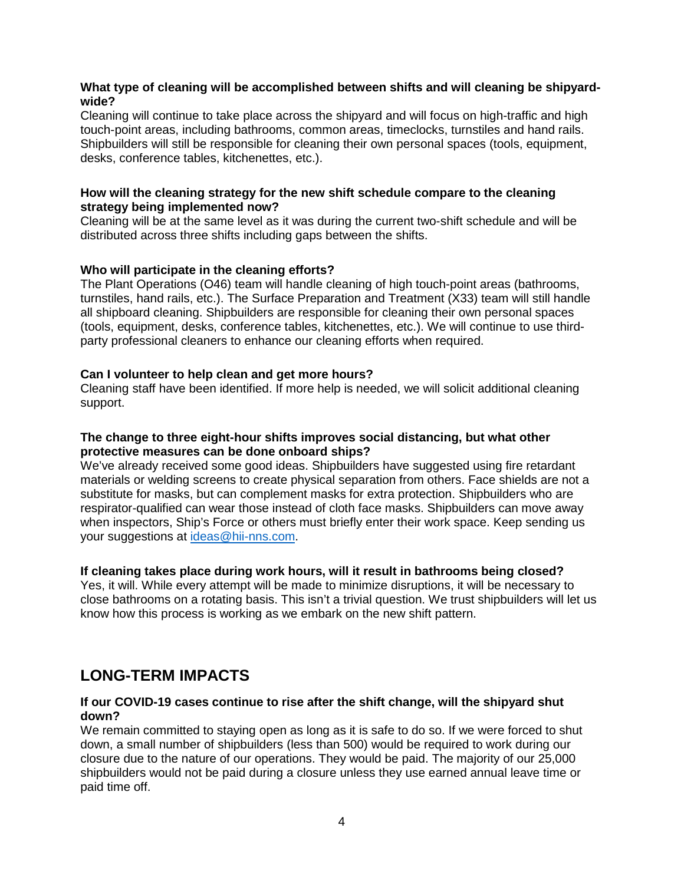# **What type of cleaning will be accomplished between shifts and will cleaning be shipyardwide?**

Cleaning will continue to take place across the shipyard and will focus on high-traffic and high touch-point areas, including bathrooms, common areas, timeclocks, turnstiles and hand rails. Shipbuilders will still be responsible for cleaning their own personal spaces (tools, equipment, desks, conference tables, kitchenettes, etc.).

## **How will the cleaning strategy for the new shift schedule compare to the cleaning strategy being implemented now?**

Cleaning will be at the same level as it was during the current two-shift schedule and will be distributed across three shifts including gaps between the shifts.

# **Who will participate in the cleaning efforts?**

The Plant Operations (O46) team will handle cleaning of high touch-point areas (bathrooms, turnstiles, hand rails, etc.). The Surface Preparation and Treatment (X33) team will still handle all shipboard cleaning. Shipbuilders are responsible for cleaning their own personal spaces (tools, equipment, desks, conference tables, kitchenettes, etc.). We will continue to use thirdparty professional cleaners to enhance our cleaning efforts when required.

# **Can I volunteer to help clean and get more hours?**

Cleaning staff have been identified. If more help is needed, we will solicit additional cleaning support.

## **The change to three eight-hour shifts improves social distancing, but what other protective measures can be done onboard ships?**

We've already received some good ideas. Shipbuilders have suggested using fire retardant materials or welding screens to create physical separation from others. Face shields are not a substitute for masks, but can complement masks for extra protection. Shipbuilders who are respirator-qualified can wear those instead of cloth face masks. Shipbuilders can move away when inspectors, Ship's Force or others must briefly enter their work space. Keep sending us your suggestions at [ideas@hii-nns.com.](mailto:ideas@hii-nns.com)

# **If cleaning takes place during work hours, will it result in bathrooms being closed?**

Yes, it will. While every attempt will be made to minimize disruptions, it will be necessary to close bathrooms on a rotating basis. This isn't a trivial question. We trust shipbuilders will let us know how this process is working as we embark on the new shift pattern.

# **LONG-TERM IMPACTS**

### **If our COVID-19 cases continue to rise after the shift change, will the shipyard shut down?**

We remain committed to staying open as long as it is safe to do so. If we were forced to shut down, a small number of shipbuilders (less than 500) would be required to work during our closure due to the nature of our operations. They would be paid. The majority of our 25,000 shipbuilders would not be paid during a closure unless they use earned annual leave time or paid time off.